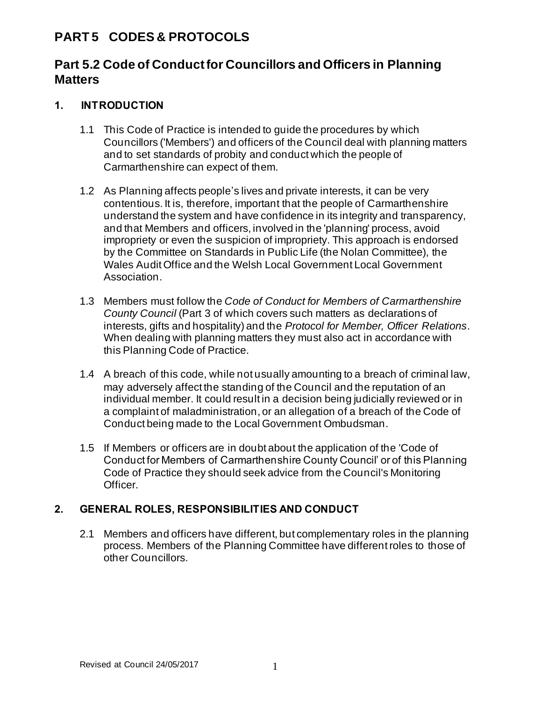# **PART 5 CODES & PROTOCOLS**

# **Part 5.2 Code of Conduct for Councillors and Officers in Planning Matters**

# **1. INTRODUCTION**

- 1.1 This Code of Practice is intended to guide the procedures by which Councillors ('Members') and officers of the Council deal with planning matters and to set standards of probity and conduct which the people of Carmarthenshire can expect of them.
- 1.2 As Planning affects people's lives and private interests, it can be very contentious. It is, therefore, important that the people of Carmarthenshire understand the system and have confidence in its integrity and transparency, and that Members and officers, involved in the 'planning' process, avoid impropriety or even the suspicion of impropriety. This approach is endorsed by the Committee on Standards in Public Life (the Nolan Committee), the Wales Audit Office and the Welsh Local Government Local Government Association.
- 1.3 Members must follow the *Code of Conduct for Members of Carmarthenshire County Council* (Part 3 of which covers such matters as declarations of interests, gifts and hospitality) and the *Protocol for Member, Officer Relations*. When dealing with planning matters they must also act in accordance with this Planning Code of Practice.
- 1.4 A breach of this code, while not usually amounting to a breach of criminal law, may adversely affect the standing of the Council and the reputation of an individual member. It could result in a decision being judicially reviewed or in a complaint of maladministration, or an allegation of a breach of the Code of Conduct being made to the Local Government Ombudsman.
- 1.5 If Members or officers are in doubt about the application of the 'Code of Conduct for Members of Carmarthenshire County Council' or of this Planning Code of Practice they should seek advice from the Council's Monitoring Officer.

### **2. GENERAL ROLES, RESPONSIBILITIES AND CONDUCT**

2.1 Members and officers have different, but complementary roles in the planning process. Members of the Planning Committee have different roles to those of other Councillors.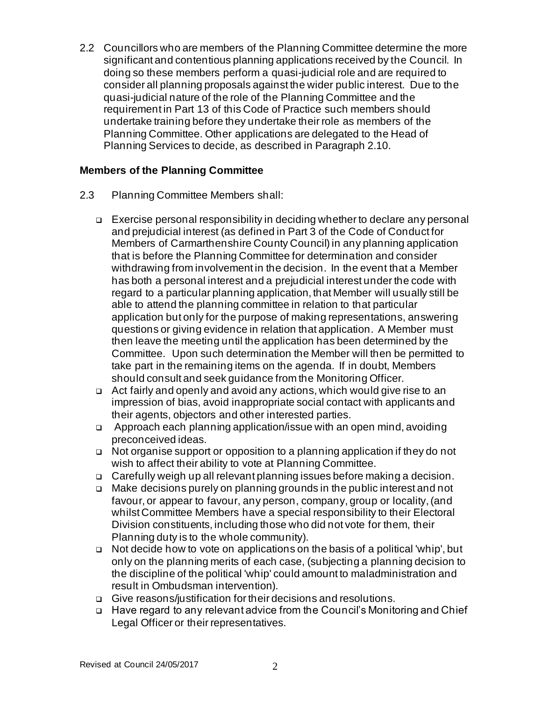2.2 Councillors who are members of the Planning Committee determine the more significant and contentious planning applications received by the Council. In doing so these members perform a quasi-judicial role and are required to consider all planning proposals against the wider public interest. Due to the quasi-judicial nature of the role of the Planning Committee and the requirement in Part 13 of this Code of Practice such members should undertake training before they undertake their role as members of the Planning Committee. Other applications are delegated to the Head of Planning Services to decide, as described in Paragraph 2.10.

### **Members of the Planning Committee**

- 2.3 Planning Committee Members shall:
	- ❑ Exercise personal responsibility in deciding whether to declare any personal and prejudicial interest (as defined in Part 3 of the Code of Conduct for Members of Carmarthenshire County Council) in any planning application that is before the Planning Committee for determination and consider withdrawing from involvement in the decision. In the event that a Member has both a personal interest and a prejudicial interest under the code with regard to a particular planning application, that Member will usually still be able to attend the planning committee in relation to that particular application but only for the purpose of making representations, answering questions or giving evidence in relation that application. A Member must then leave the meeting until the application has been determined by the Committee. Upon such determination the Member will then be permitted to take part in the remaining items on the agenda. If in doubt, Members should consult and seek guidance from the Monitoring Officer.
	- ❑ Act fairly and openly and avoid any actions, which would give rise to an impression of bias, avoid inappropriate social contact with applicants and their agents, objectors and other interested parties.
	- ❑ Approach each planning application/issue with an open mind, avoiding preconceived ideas.
	- ❑ Not organise support or opposition to a planning application if they do not wish to affect their ability to vote at Planning Committee.
	- ❑ Carefully weigh up all relevant planning issues before making a decision.
	- ❑ Make decisions purely on planning grounds in the public interest and not favour, or appear to favour, any person, company, group or locality, (and whilst Committee Members have a special responsibility to their Electoral Division constituents, including those who did not vote for them, their Planning duty is to the whole community).
	- ❑ Not decide how to vote on applications on the basis of a political 'whip', but only on the planning merits of each case, (subjecting a planning decision to the discipline of the political 'whip' could amount to maladministration and result in Ombudsman intervention).
	- ❑ Give reasons/justification for their decisions and resolutions.
	- ❑ Have regard to any relevant advice from the Council's Monitoring and Chief Legal Officer or their representatives.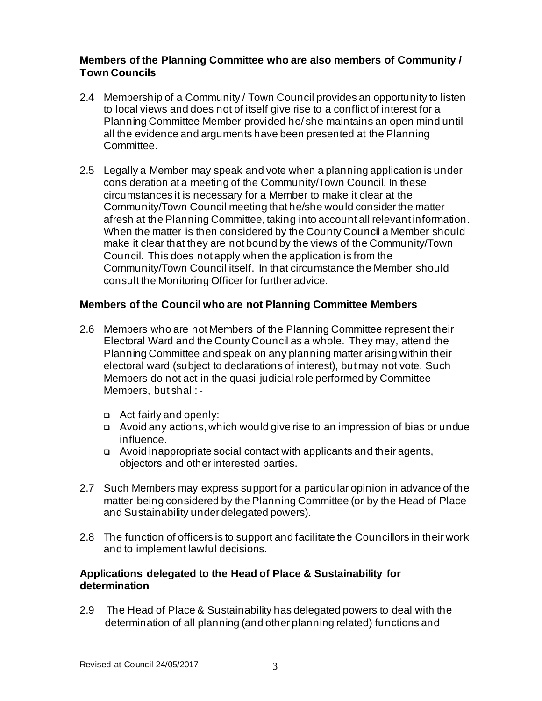### **Members of the Planning Committee who are also members of Community / Town Councils**

- 2.4 Membership of a Community / Town Council provides an opportunity to listen to local views and does not of itself give rise to a conflict of interest for a Planning Committee Member provided he/ she maintains an open mind until all the evidence and arguments have been presented at the Planning Committee.
- 2.5 Legally a Member may speak and vote when a planning application is under consideration at a meeting of the Community/Town Council. In these circumstances it is necessary for a Member to make it clear at the Community/Town Council meeting that he/she would consider the matter afresh at the Planning Committee, taking into account all relevant information. When the matter is then considered by the County Council a Member should make it clear that they are not bound by the views of the Community/Town Council. This does not apply when the application is from the Community/Town Council itself. In that circumstance the Member should consult the Monitoring Officer for further advice.

### **Members of the Council who are not Planning Committee Members**

- 2.6 Members who are not Members of the Planning Committee represent their Electoral Ward and the County Council as a whole. They may, attend the Planning Committee and speak on any planning matter arising within their electoral ward (subject to declarations of interest), but may not vote. Such Members do not act in the quasi-judicial role performed by Committee Members, but shall: -
	- ❑ Act fairly and openly:
	- ❑ Avoid any actions, which would give rise to an impression of bias or undue influence.
	- ❑ Avoid inappropriate social contact with applicants and their agents, objectors and other interested parties.
- 2.7 Such Members may express support for a particular opinion in advance of the matter being considered by the Planning Committee (or by the Head of Place and Sustainability under delegated powers).
- 2.8 The function of officers is to support and facilitate the Councillors in their work and to implement lawful decisions.

### **Applications delegated to the Head of Place & Sustainability for determination**

2.9 The Head of Place & Sustainability has delegated powers to deal with the determination of all planning (and other planning related) functions and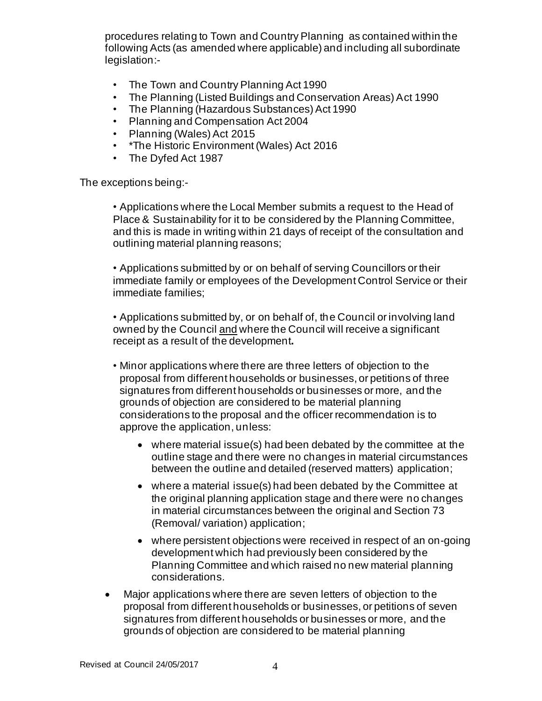procedures relating to Town and Country Planning as contained within the following Acts (as amended where applicable) and including all subordinate legislation:-

- The Town and Country Planning Act 1990
- The Planning (Listed Buildings and Conservation Areas) Act 1990
- The Planning (Hazardous Substances) Act 1990
- Planning and Compensation Act 2004
- Planning (Wales) Act 2015
- \*The Historic Environment (Wales) Act 2016
- The Dyfed Act 1987

The exceptions being:-

• Applications where the Local Member submits a request to the Head of Place & Sustainability for it to be considered by the Planning Committee, and this is made in writing within 21 days of receipt of the consultation and outlining material planning reasons;

• Applications submitted by or on behalf of serving Councillors or their immediate family or employees of the Development Control Service or their immediate families;

• Applications submitted by, or on behalf of, the Council or involving land owned by the Council and where the Council will receive a significant receipt as a result of the development**.**

- Minor applications where there are three letters of objection to the proposal from different households or businesses, or petitions of three signatures from different households or businesses or more, and the grounds of objection are considered to be material planning considerations to the proposal and the officer recommendation is to approve the application, unless:
	- where material issue(s) had been debated by the committee at the outline stage and there were no changes in material circumstances between the outline and detailed (reserved matters) application;
	- where a material issue(s) had been debated by the Committee at the original planning application stage and there were no changes in material circumstances between the original and Section 73 (Removal/ variation) application;
	- where persistent objections were received in respect of an on-going development which had previously been considered by the Planning Committee and which raised no new material planning considerations.
- Major applications where there are seven letters of objection to the proposal from different households or businesses, or petitions of seven signatures from different households or businesses or more, and the grounds of objection are considered to be material planning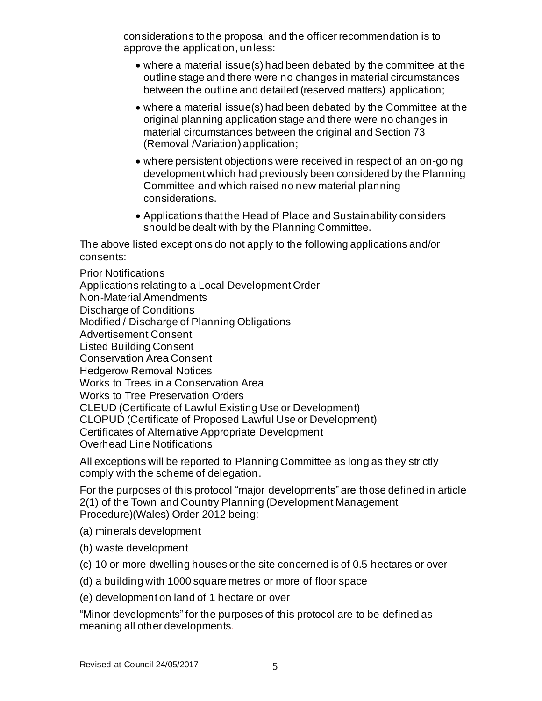considerations to the proposal and the officer recommendation is to approve the application, unless:

- where a material issue(s) had been debated by the committee at the outline stage and there were no changes in material circumstances between the outline and detailed (reserved matters) application;
- where a material issue(s) had been debated by the Committee at the original planning application stage and there were no changes in material circumstances between the original and Section 73 (Removal /Variation) application;
- where persistent objections were received in respect of an on-going development which had previously been considered by the Planning Committee and which raised no new material planning considerations.
- Applications that the Head of Place and Sustainability considers should be dealt with by the Planning Committee.

The above listed exceptions do not apply to the following applications and/or consents:

Prior Notifications Applications relating to a Local Development Order Non-Material Amendments Discharge of Conditions Modified / Discharge of Planning Obligations Advertisement Consent Listed Building Consent Conservation Area Consent Hedgerow Removal Notices Works to Trees in a Conservation Area Works to Tree Preservation Orders CLEUD (Certificate of Lawful Existing Use or Development) CLOPUD (Certificate of Proposed Lawful Use or Development) Certificates of Alternative Appropriate Development Overhead Line Notifications

All exceptions will be reported to Planning Committee as long as they strictly comply with the scheme of delegation.

For the purposes of this protocol "major developments" are those defined in article 2(1) of the Town and Country Planning (Development Management Procedure)(Wales) Order 2012 being:-

- (a) minerals development
- (b) waste development
- (c) 10 or more dwelling houses or the site concerned is of 0.5 hectares or over
- (d) a building with 1000 square metres or more of floor space
- (e) development on land of 1 hectare or over

"Minor developments" for the purposes of this protocol are to be defined as meaning all other developments.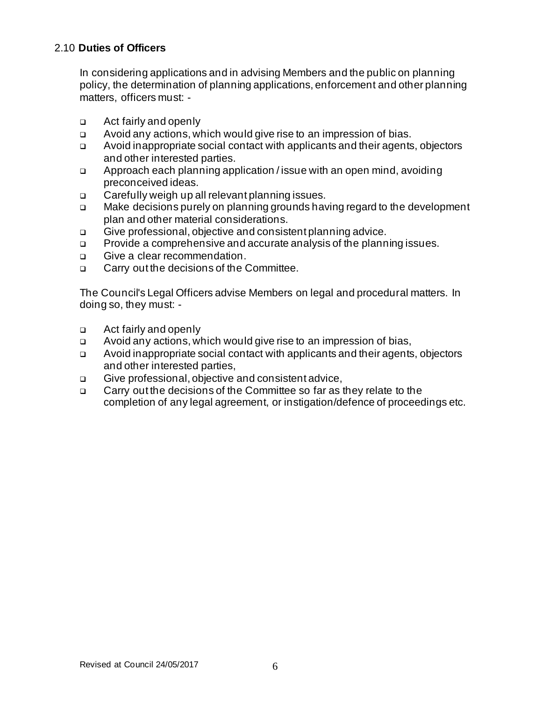# 2.10 **Duties of Officers**

In considering applications and in advising Members and the public on planning policy, the determination of planning applications, enforcement and other planning matters, officers must: -

- ❑ Act fairly and openly
- ❑ Avoid any actions, which would give rise to an impression of bias.
- ❑ Avoid inappropriate social contact with applicants and their agents, objectors and other interested parties.
- ❑ Approach each planning application / issue with an open mind, avoiding preconceived ideas.
- ❑ Carefully weigh up all relevant planning issues.
- ❑ Make decisions purely on planning grounds having regard to the development plan and other material considerations.
- ❑ Give professional, objective and consistent planning advice.
- ❑ Provide a comprehensive and accurate analysis of the planning issues.
- ❑ Give a clear recommendation.
- ❑ Carry out the decisions of the Committee.

The Council's Legal Officers advise Members on legal and procedural matters. In doing so, they must: -

- ❑ Act fairly and openly
- ❑ Avoid any actions, which would give rise to an impression of bias,
- ❑ Avoid inappropriate social contact with applicants and their agents, objectors and other interested parties,
- ❑ Give professional, objective and consistent advice,
- ❑ Carry out the decisions of the Committee so far as they relate to the completion of any legal agreement, or instigation/defence of proceedings etc.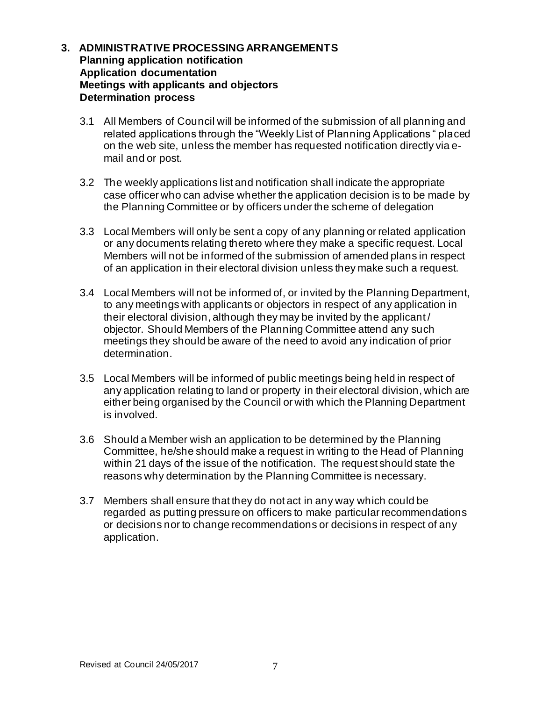### **3. ADMINISTRATIVE PROCESSING ARRANGEMENTS Planning application notification Application documentation Meetings with applicants and objectors Determination process**

- 3.1 All Members of Council will be informed of the submission of all planning and related applications through the "Weekly List of Planning Applications " placed on the web site, unless the member has requested notification directly via email and or post.
- 3.2 The weekly applications list and notification shall indicate the appropriate case officer who can advise whether the application decision is to be made by the Planning Committee or by officers under the scheme of delegation
- 3.3 Local Members will only be sent a copy of any planning or related application or any documents relating thereto where they make a specific request. Local Members will not be informed of the submission of amended plans in respect of an application in their electoral division unless they make such a request.
- 3.4 Local Members will not be informed of, or invited by the Planning Department, to any meetings with applicants or objectors in respect of any application in their electoral division, although they may be invited by the applicant / objector. Should Members of the Planning Committee attend any such meetings they should be aware of the need to avoid any indication of prior determination.
- 3.5 Local Members will be informed of public meetings being held in respect of any application relating to land or property in their electoral division, which are either being organised by the Council or with which the Planning Department is involved.
- 3.6 Should a Member wish an application to be determined by the Planning Committee, he/she should make a request in writing to the Head of Planning within 21 days of the issue of the notification. The request should state the reasons why determination by the Planning Committee is necessary.
- 3.7 Members shall ensure that they do not act in any way which could be regarded as putting pressure on officers to make particular recommendations or decisions nor to change recommendations or decisions in respect of any application.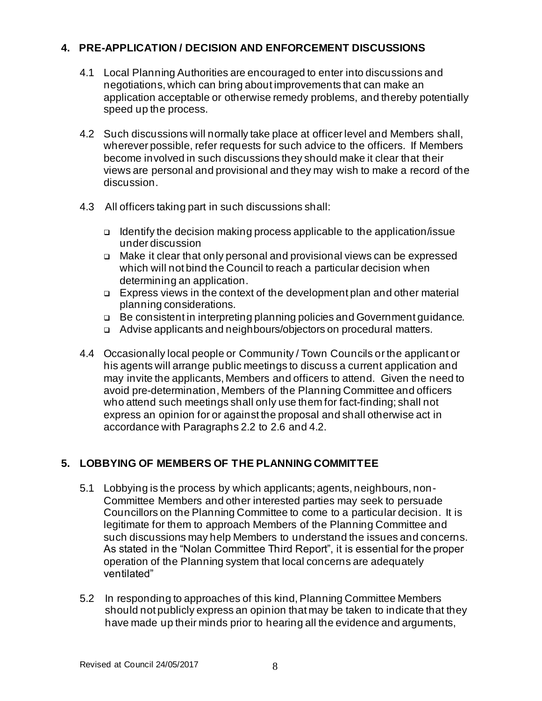# **4. PRE-APPLICATION / DECISION AND ENFORCEMENT DISCUSSIONS**

- 4.1 Local Planning Authorities are encouraged to enter into discussions and negotiations, which can bring about improvements that can make an application acceptable or otherwise remedy problems, and thereby potentially speed up the process.
- 4.2 Such discussions will normally take place at officer level and Members shall, wherever possible, refer requests for such advice to the officers. If Members become involved in such discussions they should make it clear that their views are personal and provisional and they may wish to make a record of the discussion.
- 4.3 All officers taking part in such discussions shall:
	- ❑ Identify the decision making process applicable to the application/issue under discussion
	- ❑ Make it clear that only personal and provisional views can be expressed which will not bind the Council to reach a particular decision when determining an application.
	- ❑ Express views in the context of the development plan and other material planning considerations.
	- ❑ Be consistent in interpreting planning policies and Government guidance.
	- ❑ Advise applicants and neighbours/objectors on procedural matters.
- 4.4 Occasionally local people or Community / Town Councils or the applicant or his agents will arrange public meetings to discuss a current application and may invite the applicants, Members and officers to attend. Given the need to avoid pre-determination, Members of the Planning Committee and officers who attend such meetings shall only use them for fact-finding; shall not express an opinion for or against the proposal and shall otherwise act in accordance with Paragraphs 2.2 to 2.6 and 4.2.

# **5. LOBBYING OF MEMBERS OF THE PLANNING COMMITTEE**

- 5.1 Lobbying is the process by which applicants; agents, neighbours, non-Committee Members and other interested parties may seek to persuade Councillors on the Planning Committee to come to a particular decision. It is legitimate for them to approach Members of the Planning Committee and such discussions may help Members to understand the issues and concerns. As stated in the "Nolan Committee Third Report", it is essential for the proper operation of the Planning system that local concerns are adequately ventilated"
- 5.2 In responding to approaches of this kind, Planning Committee Members should not publicly express an opinion that may be taken to indicate that they have made up their minds prior to hearing all the evidence and arguments,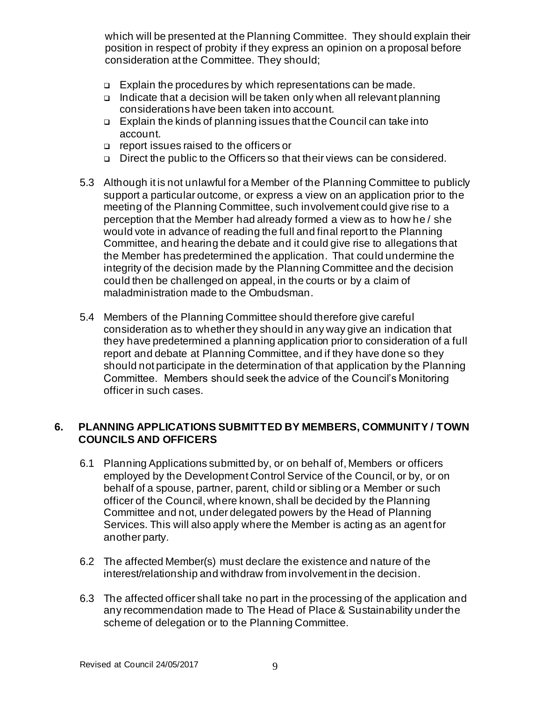which will be presented at the Planning Committee. They should explain their position in respect of probity if they express an opinion on a proposal before consideration at the Committee. They should;

- ❑ Explain the procedures by which representations can be made.
- ❑ Indicate that a decision will be taken only when all relevant planning considerations have been taken into account.
- ❑ Explain the kinds of planning issues that the Council can take into account.
- ❑ report issues raised to the officers or
- ❑ Direct the public to the Officers so that their views can be considered.
- 5.3 Although it is not unlawful for a Member of the Planning Committee to publicly support a particular outcome, or express a view on an application prior to the meeting of the Planning Committee, such involvement could give rise to a perception that the Member had already formed a view as to how he / she would vote in advance of reading the full and final report to the Planning Committee, and hearing the debate and it could give rise to allegations that the Member has predetermined the application. That could undermine the integrity of the decision made by the Planning Committee and the decision could then be challenged on appeal, in the courts or by a claim of maladministration made to the Ombudsman.
- 5.4 Members of the Planning Committee should therefore give careful consideration as to whether they should in any way give an indication that they have predetermined a planning application prior to consideration of a full report and debate at Planning Committee, and if they have done so they should not participate in the determination of that application by the Planning Committee. Members should seek the advice of the Council's Monitoring officer in such cases.

# **6. PLANNING APPLICATIONS SUBMITTED BY MEMBERS, COMMUNITY / TOWN COUNCILS AND OFFICERS**

- 6.1 Planning Applications submitted by, or on behalf of, Members or officers employed by the Development Control Service of the Council, or by, or on behalf of a spouse, partner, parent, child or sibling or a Member or such officer of the Council, where known, shall be decided by the Planning Committee and not, under delegated powers by the Head of Planning Services. This will also apply where the Member is acting as an agent for another party.
- 6.2 The affected Member(s) must declare the existence and nature of the interest/relationship and withdraw from involvement in the decision.
- 6.3 The affected officer shall take no part in the processing of the application and any recommendation made to The Head of Place & Sustainability under the scheme of delegation or to the Planning Committee.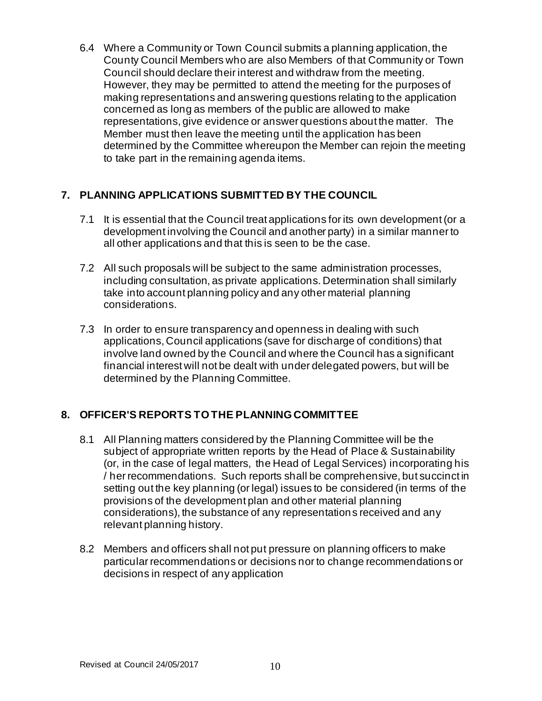6.4 Where a Community or Town Council submits a planning application, the County Council Members who are also Members of that Community or Town Council should declare their interest and withdraw from the meeting. However, they may be permitted to attend the meeting for the purposes of making representations and answering questions relating to the application concerned as long as members of the public are allowed to make representations, give evidence or answer questions about the matter. The Member must then leave the meeting until the application has been determined by the Committee whereupon the Member can rejoin the meeting to take part in the remaining agenda items.

# **7. PLANNING APPLICATIONS SUBMITTED BY THE COUNCIL**

- 7.1 It is essential that the Council treat applications for its own development (or a development involving the Council and another party) in a similar manner to all other applications and that this is seen to be the case.
- 7.2 All such proposals will be subject to the same administration processes, including consultation, as private applications. Determination shall similarly take into account planning policy and any other material planning considerations.
- 7.3 In order to ensure transparency and openness in dealing with such applications, Council applications (save for discharge of conditions) that involve land owned by the Council and where the Council has a significant financial interest will not be dealt with under delegated powers, but will be determined by the Planning Committee.

# **8. OFFICER'S REPORTS TO THE PLANNING COMMITTEE**

- 8.1 All Planning matters considered by the Planning Committee will be the subject of appropriate written reports by the Head of Place & Sustainability (or, in the case of legal matters, the Head of Legal Services) incorporating his / her recommendations. Such reports shall be comprehensive, but succinct in setting out the key planning (or legal) issues to be considered (in terms of the provisions of the development plan and other material planning considerations), the substance of any representations received and any relevant planning history.
- 8.2 Members and officers shall not put pressure on planning officers to make particular recommendations or decisions nor to change recommendations or decisions in respect of any application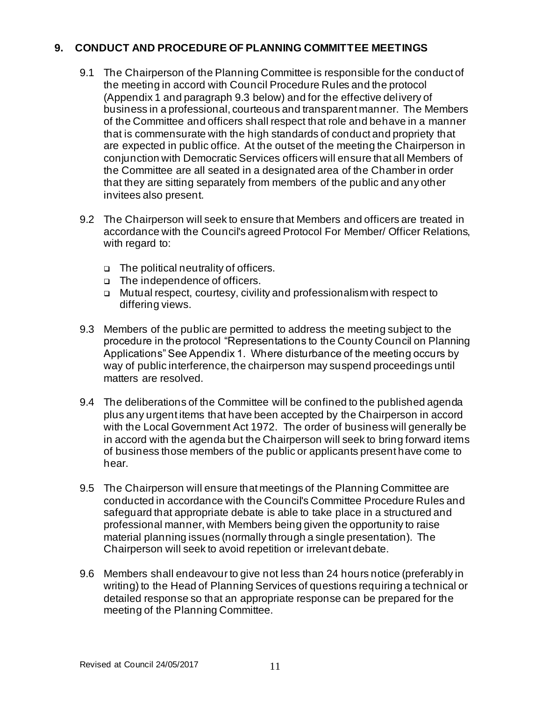# **9. CONDUCT AND PROCEDURE OF PLANNING COMMITTEE MEETINGS**

- 9.1 The Chairperson of the Planning Committee is responsible for the conduct of the meeting in accord with Council Procedure Rules and the protocol (Appendix 1 and paragraph 9.3 below) and for the effective delivery of business in a professional, courteous and transparent manner. The Members of the Committee and officers shall respect that role and behave in a manner that is commensurate with the high standards of conduct and propriety that are expected in public office. At the outset of the meeting the Chairperson in conjunction with Democratic Services officers will ensure that all Members of the Committee are all seated in a designated area of the Chamber in order that they are sitting separately from members of the public and any other invitees also present.
- 9.2 The Chairperson will seek to ensure that Members and officers are treated in accordance with the Council's agreed Protocol For Member/ Officer Relations, with regard to:
	- ❑ The political neutrality of officers.
	- ❑ The independence of officers.
	- ❑ Mutual respect, courtesy, civility and professionalism with respect to differing views.
- 9.3 Members of the public are permitted to address the meeting subject to the procedure in the protocol "Representations to the County Council on Planning Applications" See Appendix 1. Where disturbance of the meeting occurs by way of public interference, the chairperson may suspend proceedings until matters are resolved.
- 9.4 The deliberations of the Committee will be confined to the published agenda plus any urgent items that have been accepted by the Chairperson in accord with the Local Government Act 1972. The order of business will generally be in accord with the agenda but the Chairperson will seek to bring forward items of business those members of the public or applicants present have come to hear.
- 9.5 The Chairperson will ensure that meetings of the Planning Committee are conducted in accordance with the Council's Committee Procedure Rules and safeguard that appropriate debate is able to take place in a structured and professional manner, with Members being given the opportunity to raise material planning issues (normally through a single presentation). The Chairperson will seek to avoid repetition or irrelevant debate.
- 9.6 Members shall endeavour to give not less than 24 hours notice (preferably in writing) to the Head of Planning Services of questions requiring a technical or detailed response so that an appropriate response can be prepared for the meeting of the Planning Committee.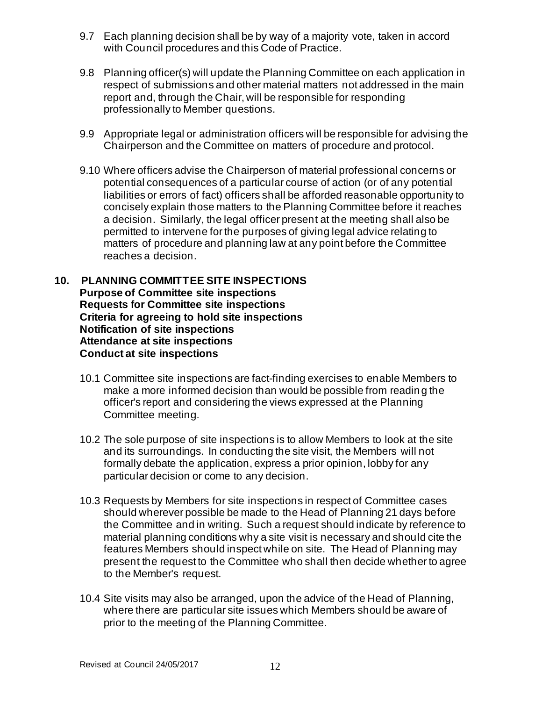- 9.7 Each planning decision shall be by way of a majority vote, taken in accord with Council procedures and this Code of Practice.
- 9.8 Planning officer(s) will update the Planning Committee on each application in respect of submissions and other material matters not addressed in the main report and, through the Chair, will be responsible for responding professionally to Member questions.
- 9.9 Appropriate legal or administration officers will be responsible for advising the Chairperson and the Committee on matters of procedure and protocol.
- 9.10 Where officers advise the Chairperson of material professional concerns or potential consequences of a particular course of action (or of any potential liabilities or errors of fact) officers shall be afforded reasonable opportunity to concisely explain those matters to the Planning Committee before it reaches a decision. Similarly, the legal officer present at the meeting shall also be permitted to intervene for the purposes of giving legal advice relating to matters of procedure and planning law at any point before the Committee reaches a decision.

#### **10. PLANNING COMMITTEE SITE INSPECTIONS Purpose of Committee site inspections Requests for Committee site inspections Criteria for agreeing to hold site inspections Notification of site inspections Attendance at site inspections Conduct at site inspections**

- 10.1 Committee site inspections are fact-finding exercises to enable Members to make a more informed decision than would be possible from readin g the officer's report and considering the views expressed at the Planning Committee meeting.
- 10.2 The sole purpose of site inspections is to allow Members to look at the site and its surroundings. In conducting the site visit, the Members will not formally debate the application, express a prior opinion, lobby for any particular decision or come to any decision.
- 10.3 Requests by Members for site inspections in respect of Committee cases should wherever possible be made to the Head of Planning 21 days before the Committee and in writing. Such a request should indicate by reference to material planning conditions why a site visit is necessary and should cite the features Members should inspect while on site. The Head of Planning may present the request to the Committee who shall then decide whether to agree to the Member's request.
- 10.4 Site visits may also be arranged, upon the advice of the Head of Planning, where there are particular site issues which Members should be aware of prior to the meeting of the Planning Committee.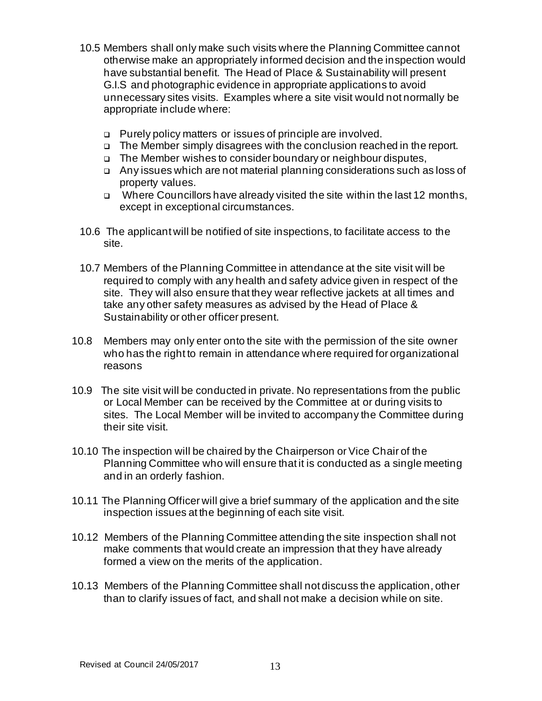- 10.5 Members shall only make such visits where the Planning Committee cannot otherwise make an appropriately informed decision and the inspection would have substantial benefit. The Head of Place & Sustainability will present G.I.S and photographic evidence in appropriate applications to avoid unnecessary sites visits. Examples where a site visit would not normally be appropriate include where:
	- ❑ Purely policy matters or issues of principle are involved.
	- ❑ The Member simply disagrees with the conclusion reached in the report.
	- ❑ The Member wishes to consider boundary or neighbour disputes,
	- ❑ Any issues which are not material planning considerations such as loss of property values.
	- ❑ Where Councillors have already visited the site within the last 12 months, except in exceptional circumstances.
- 10.6 The applicant will be notified of site inspections, to facilitate access to the site.
- 10.7 Members of the Planning Committee in attendance at the site visit will be required to comply with any health and safety advice given in respect of the site. They will also ensure that they wear reflective jackets at all times and take any other safety measures as advised by the Head of Place & Sustainability or other officer present.
- 10.8 Members may only enter onto the site with the permission of the site owner who has the right to remain in attendance where required for organizational reasons
- 10.9 The site visit will be conducted in private. No representations from the public or Local Member can be received by the Committee at or during visits to sites. The Local Member will be invited to accompany the Committee during their site visit.
- 10.10 The inspection will be chaired by the Chairperson or Vice Chair of the Planning Committee who will ensure that it is conducted as a single meeting and in an orderly fashion.
- 10.11 The Planning Officer will give a brief summary of the application and the site inspection issues at the beginning of each site visit.
- 10.12 Members of the Planning Committee attending the site inspection shall not make comments that would create an impression that they have already formed a view on the merits of the application.
- 10.13 Members of the Planning Committee shall not discuss the application, other than to clarify issues of fact, and shall not make a decision while on site.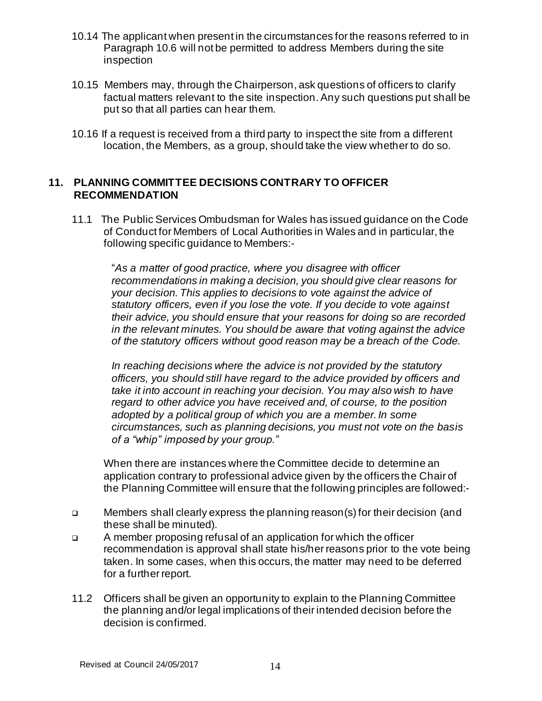- 10.14 The applicant when present in the circumstances for the reasons referred to in Paragraph 10.6 will not be permitted to address Members during the site inspection
- 10.15 Members may, through the Chairperson, ask questions of officers to clarify factual matters relevant to the site inspection. Any such questions put shall be put so that all parties can hear them.
- 10.16 If a request is received from a third party to inspect the site from a different location, the Members, as a group, should take the view whether to do so.

### **11. PLANNING COMMITTEE DECISIONS CONTRARY TO OFFICER RECOMMENDATION**

11.1 The Public Services Ombudsman for Wales has issued guidance on the Code of Conduct for Members of Local Authorities in Wales and in particular, the following specific guidance to Members:-

 "*As a matter of good practice, where you disagree with officer recommendations in making a decision, you should give clear reasons for your decision. This applies to decisions to vote against the advice of statutory officers, even if you lose the vote. If you decide to vote against their advice, you should ensure that your reasons for doing so are recorded in the relevant minutes. You should be aware that voting against the advice of the statutory officers without good reason may be a breach of the Code.* 

*In reaching decisions where the advice is not provided by the statutory officers, you should still have regard to the advice provided by officers and take it into account in reaching your decision. You may also wish to have regard to other advice you have received and, of course, to the position adopted by a political group of which you are a member. In some circumstances, such as planning decisions, you must not vote on the basis of a "whip" imposed by your group."* 

 When there are instances where the Committee decide to determine an application contrary to professional advice given by the officers the Chair of the Planning Committee will ensure that the following principles are followed:-

- ❑ Members shall clearly express the planning reason(s) for their decision (and these shall be minuted).
- ❑ A member proposing refusal of an application for which the officer recommendation is approval shall state his/her reasons prior to the vote being taken. In some cases, when this occurs, the matter may need to be deferred for a further report.
- 11.2 Officers shall be given an opportunity to explain to the Planning Committee the planning and/or legal implications of their intended decision before the decision is confirmed.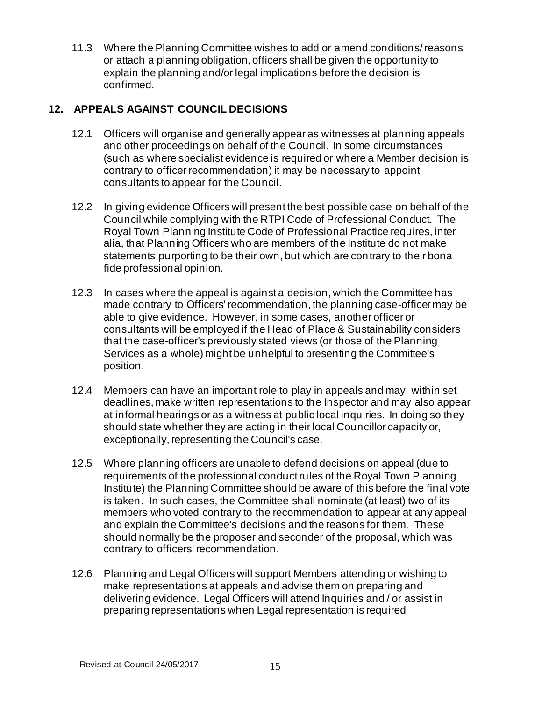11.3 Where the Planning Committee wishes to add or amend conditions/ reasons or attach a planning obligation, officers shall be given the opportunity to explain the planning and/or legal implications before the decision is confirmed.

# **12. APPEALS AGAINST COUNCIL DECISIONS**

- 12.1 Officers will organise and generally appear as witnesses at planning appeals and other proceedings on behalf of the Council. In some circumstances (such as where specialist evidence is required or where a Member decision is contrary to officer recommendation) it may be necessary to appoint consultants to appear for the Council.
- 12.2 In giving evidence Officers will present the best possible case on behalf of the Council while complying with the RTPI Code of Professional Conduct.The Royal Town Planning Institute Code of Professional Practice requires, inter alia, that Planning Officers who are members of the Institute do not make statements purporting to be their own, but which are contrary to their bona fide professional opinion*.*
- 12.3 In cases where the appeal is against a decision, which the Committee has made contrary to Officers' recommendation, the planning case-officer may be able to give evidence. However, in some cases, another officer or consultants will be employed if the Head of Place & Sustainability considers that the case-officer's previously stated views (or those of the Planning Services as a whole) might be unhelpful to presenting the Committee's position.
- 12.4 Members can have an important role to play in appeals and may, within set deadlines, make written representations to the Inspector and may also appear at informal hearings or as a witness at public local inquiries. In doing so they should state whether they are acting in their local Councillor capacity or, exceptionally, representing the Council's case.
- 12.5 Where planning officers are unable to defend decisions on appeal (due to requirements of the professional conduct rules of the Royal Town Planning Institute) the Planning Committee should be aware of this before the final vote is taken. In such cases, the Committee shall nominate (at least) two of its members who voted contrary to the recommendation to appear at any appeal and explain the Committee's decisions and the reasons for them. These should normally be the proposer and seconder of the proposal, which was contrary to officers' recommendation.
- 12.6 Planning and Legal Officers will support Members attending or wishing to make representations at appeals and advise them on preparing and delivering evidence. Legal Officers will attend Inquiries and / or assist in preparing representations when Legal representation is required